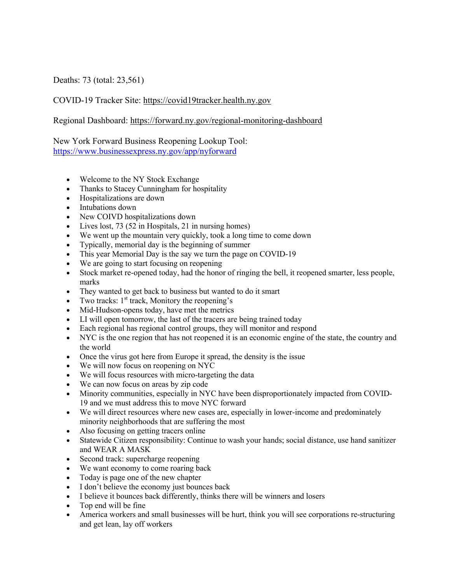Deaths: 73 (total: 23,561)

## COVID-19 Tracker Site: https://covid19tracker.health.ny.gov

Regional Dashboard: https://forward.ny.gov/regional-monitoring-dashboard

New York Forward Business Reopening Lookup Tool: https://www.businessexpress.ny.gov/app/nyforward

- Welcome to the NY Stock Exchange
- Thanks to Stacey Cunningham for hospitality
- Hospitalizations are down
- Intubations down
- New COIVD hospitalizations down
- Lives lost, 73 (52 in Hospitals, 21 in nursing homes)
- We went up the mountain very quickly, took a long time to come down
- Typically, memorial day is the beginning of summer
- This year Memorial Day is the say we turn the page on COVID-19
- We are going to start focusing on reopening
- Stock market re-opened today, had the honor of ringing the bell, it reopened smarter, less people, marks
- They wanted to get back to business but wanted to do it smart
- Two tracks:  $1<sup>st</sup>$  track, Monitory the reopening's
- Mid-Hudson-opens today, have met the metrics
- LI will open tomorrow, the last of the tracers are being trained today
- Each regional has regional control groups, they will monitor and respond
- NYC is the one region that has not reopened it is an economic engine of the state, the country and the world
- Once the virus got here from Europe it spread, the density is the issue
- We will now focus on reopening on NYC
- We will focus resources with micro-targeting the data
- We can now focus on areas by zip code
- Minority communities, especially in NYC have been disproportionately impacted from COVID-19 and we must address this to move NYC forward
- We will direct resources where new cases are, especially in lower-income and predominately minority neighborhoods that are suffering the most
- Also focusing on getting tracers online
- Statewide Citizen responsibility: Continue to wash your hands; social distance, use hand sanitizer and WEAR A MASK
- Second track: supercharge reopening
- We want economy to come roaring back
- Today is page one of the new chapter
- I don't believe the economy just bounces back
- I believe it bounces back differently, thinks there will be winners and losers
- Top end will be fine
- America workers and small businesses will be hurt, think you will see corporations re-structuring and get lean, lay off workers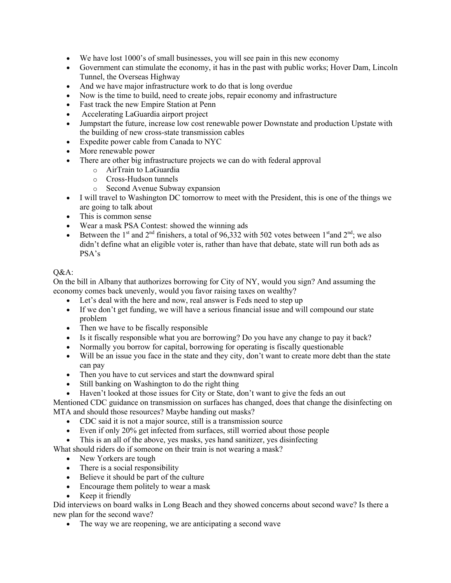- We have lost 1000's of small businesses, you will see pain in this new economy
- Government can stimulate the economy, it has in the past with public works; Hover Dam, Lincoln Tunnel, the Overseas Highway
- And we have major infrastructure work to do that is long overdue
- Now is the time to build, need to create jobs, repair economy and infrastructure
- Fast track the new Empire Station at Penn
- Accelerating LaGuardia airport project
- Jumpstart the future, increase low cost renewable power Downstate and production Upstate with the building of new cross-state transmission cables
- Expedite power cable from Canada to NYC
- More renewable power
- There are other big infrastructure projects we can do with federal approval
	- o AirTrain to LaGuardia
	- o Cross-Hudson tunnels
	- o Second Avenue Subway expansion
- I will travel to Washington DC tomorrow to meet with the President, this is one of the things we are going to talk about
- This is common sense
- Wear a mask PSA Contest: showed the winning ads
- Between the 1<sup>st</sup> and 2<sup>nd</sup> finishers, a total of 96,332 with 502 votes between 1<sup>st</sup> and 2<sup>nd</sup>; we also didn't define what an eligible voter is, rather than have that debate, state will run both ads as PSA's

## O&A:

On the bill in Albany that authorizes borrowing for City of NY, would you sign? And assuming the economy comes back unevenly, would you favor raising taxes on wealthy?

- Let's deal with the here and now, real answer is Feds need to step up
- If we don't get funding, we will have a serious financial issue and will compound our state problem
- Then we have to be fiscally responsible
- Is it fiscally responsible what you are borrowing? Do you have any change to pay it back?
- Normally you borrow for capital, borrowing for operating is fiscally questionable
- Will be an issue you face in the state and they city, don't want to create more debt than the state can pay
- Then you have to cut services and start the downward spiral
- Still banking on Washington to do the right thing
- Haven't looked at those issues for City or State, don't want to give the feds an out

Mentioned CDC guidance on transmission on surfaces has changed, does that change the disinfecting on MTA and should those resources? Maybe handing out masks?

- CDC said it is not a major source, still is a transmission source
- Even if only 20% get infected from surfaces, still worried about those people
- This is an all of the above, yes masks, yes hand sanitizer, yes disinfecting

What should riders do if someone on their train is not wearing a mask?

- New Yorkers are tough
- There is a social responsibility
- Believe it should be part of the culture
- Encourage them politely to wear a mask
- Keep it friendly

Did interviews on board walks in Long Beach and they showed concerns about second wave? Is there a new plan for the second wave?

• The way we are reopening, we are anticipating a second wave